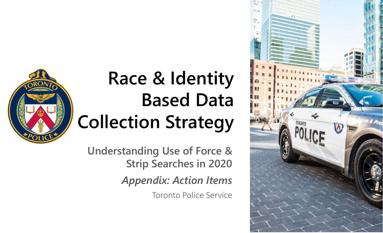

## **Race & Identity Based Data Collection Strategy**

**Understanding Use of Force & Strip Searches in 2020**

*Appendix: Action Items*

Toronto Police Service

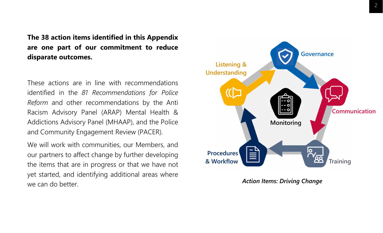**The 38 action items identified in this Appendix are one part of our commitment to reduce disparate outcomes.**

These actions are in line with recommendations identified in the *81 Recommendations for Police Reform* and other recommendations by the Anti Racism Advisory Panel (ARAP) Mental Health & Addictions Advisory Panel (MHAAP), and the Police and Community Engagement Review (PACER).

We will work with communities, our Members, and our partners to affect change by further developing the items that are in progress or that we have not yet started, and identifying additional areas where we can do better.



*Action Items: Driving Change*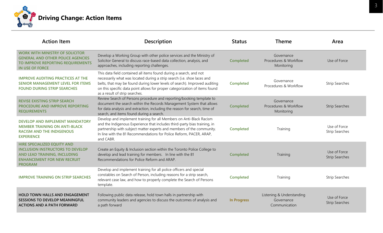

| <b>Action Item</b>                                                                                                                                             | <b>Description</b>                                                                                                                                                                                                                                                                                                                           | <b>Status</b>      | <b>Theme</b>                                             | Area                                  |
|----------------------------------------------------------------------------------------------------------------------------------------------------------------|----------------------------------------------------------------------------------------------------------------------------------------------------------------------------------------------------------------------------------------------------------------------------------------------------------------------------------------------|--------------------|----------------------------------------------------------|---------------------------------------|
| <b>WORK WITH MINISTRY OF SOLICITOR</b><br><b>GENERAL AND OTHER POLICE AGENCIES</b><br>TO IMPROVE REPORTING REQUIREMENTS<br><b>IN USE OF FORCE</b>              | Develop a Working Group with other police services and the Ministry of<br>Solicitor General to discuss race-based data collection, analysis, and<br>approaches, including reporting challenges.                                                                                                                                              | <b>Completed</b>   | Governance<br>Procedures & Workflow<br>Monitoring        | Use of Force                          |
| <b>IMPROVE AUDITING PRACTICES AT THE</b><br><b>SENIOR MANAGEMENT LEVEL FOR ITEMS</b><br><b>FOUND DURING STRIP SEARCHES</b>                                     | This data field contained all items found during a search, and not<br>necessarily what was located during a strip search (i.e. shoe laces and<br>belts, that may be found during lower levels of search). Improved auditing<br>on this specific data point allows for proper categorization of items found<br>as a result of strip searches. | <b>Completed</b>   | Governance<br>Procedures & Workflow                      | <b>Strip Searches</b>                 |
| <b>REVISE EXISTING STRIP SEARCH</b><br>PROCEDURE AND IMPROVE REPORTING<br><b>REQUIREMENTS</b>                                                                  | Review Search of Persons procedure and reporting/booking template to<br>document the search within the Records Management System that allows<br>for data analysis and extraction, including the reason for search, time of<br>search, and items found during a search.                                                                       | <b>Completed</b>   | Governance<br>Procedures & Workflow<br>Monitoring        | <b>Strip Searches</b>                 |
| <b>DEVELOP AND IMPLEMENT MANDATORY</b><br><b>MEMBER TRAINING ON ANTI-BLACK</b><br><b>RACISM AND THE INDIGENOUS</b><br><b>EXPERIENCE</b>                        | Develop and implement training for all Members on Anti-Black Racism<br>and the Indigenous Experience that includes third-party bias training, in<br>partnership with subject matter experts and members of the community.<br>In line with the 81 Recommendations for Police Reform, PACER, ARAP,<br>and CABR.                                | <b>Completed</b>   | Training                                                 | Use of Force<br><b>Strip Searches</b> |
| HIRE SPECIALIZED EQUITY AND<br><b>INCLUSION INSTRUCTORS TO DEVELOP</b><br>AND LEAD TRAINING, INCLUDING<br><b>ENHANCEMENT FOR NEW RECRUIT</b><br><b>PROGRAM</b> | Create an Equity & Inclusion section within the Toronto Police College to<br>develop and lead training for members. In line with the 81<br>Recommendations for Police Reform and ARAP.                                                                                                                                                       | <b>Completed</b>   | Training                                                 | Use of Force<br><b>Strip Searches</b> |
| <b>IMPROVE TRAINING ON STRIP SEARCHES</b>                                                                                                                      | Develop and implement training for all police officers and special<br>constables on Search of Person, including reasons for a strip search,<br>relevant case law, and how to properly complete the Search of Persons<br>template.                                                                                                            | <b>Completed</b>   | Training                                                 | <b>Strip Searches</b>                 |
| <b>HOLD TOWN HALLS AND ENGAGEMENT</b><br><b>SESSIONS TO DEVELOP MEANINGFUL</b><br><b>ACTIONS AND A PATH FORWARD</b>                                            | Following public data release, hold town halls in partnership with<br>community leaders and agencies to discuss the outcomes of analysis and<br>a path forward                                                                                                                                                                               | <b>In Progress</b> | Listening & Understanding<br>Governance<br>Communication | Use of Force<br><b>Strip Searches</b> |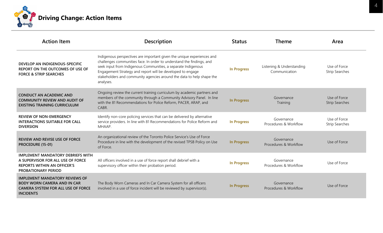

| <b>Action Item</b>                                                                                                                                | <b>Description</b>                                                                                                                                                                                                                                                                                                                                                   | <b>Status</b>      | <b>Theme</b>                               | Area                                  |
|---------------------------------------------------------------------------------------------------------------------------------------------------|----------------------------------------------------------------------------------------------------------------------------------------------------------------------------------------------------------------------------------------------------------------------------------------------------------------------------------------------------------------------|--------------------|--------------------------------------------|---------------------------------------|
| DEVELOP AN INDIGENOUS-SPECIFIC<br>REPORT ON THE OUTCOMES OF USE OF<br><b>FORCE &amp; STRIP SEARCHES</b>                                           | Indigenous perspectives are important given the unique experiences and<br>challenges communities face. In order to understand the findings, and<br>seek input from Indigenous Communities, a separate Indigenous<br>Engagement Strategy and report will be developed to engage<br>stakeholders and community agencies around the data to help shape the<br>analyses. | <b>In Progress</b> | Listening & Understanding<br>Communication | Use of Force<br><b>Strip Searches</b> |
| <b>CONDUCT AN ACADEMIC AND</b><br><b>COMMUNITY REVIEW AND AUDIT OF</b><br><b>EXISTING TRAINING CURRICULUM</b>                                     | Ongoing review the current training curriculum by academic partners and<br>members of the community through a Community Advisory Panel. In line<br>with the 81 Recommendations for Police Reform, PACER, ARAP, and<br>CABR.                                                                                                                                          | <b>In Progress</b> | Governance<br>Training                     | Use of Force<br><b>Strip Searches</b> |
| <b>REVIEW OF NON-EMERGENCY</b><br><b>INTERACTIONS SUITABLE FOR CALL</b><br><b>DIVERSION</b>                                                       | Identify non-core policing services that can be delivered by alternative<br>service providers. In line with 81 Recommendations for Police Reform and<br>MHAAP.                                                                                                                                                                                                       | <b>In Progress</b> | Governance<br>Procedures & Workflow        | Use of Force<br><b>Strip Searches</b> |
| <b>REVIEW AND REVISE USE OF FORCE</b><br>PROCEDURE (15-01)                                                                                        | An organizational review of the Toronto Police Service's Use of Force<br>Procedure in line with the development of the revised TPSB Policy on Use<br>of Force.                                                                                                                                                                                                       | In Progress        | Governance<br>Procedures & Workflow        | Use of Force                          |
| <b>IMPLEMENT MANDATORY DEBRIEFS WITH</b><br>A SUPERVISOR FOR ALL USE OF FORCE<br><b>REPORTS WITHIN AN OFFICER'S</b><br><b>PROBATIONARY PERIOD</b> | All officers involved in a use of force report shall debrief with a<br>supervisory officer within their probation period.                                                                                                                                                                                                                                            | <b>In Progress</b> | Governance<br>Procedures & Workflow        | Use of Force                          |
| <b>IMPLEMENT MANDATORY REVIEWS OF</b><br><b>BODY WORN CAMERA AND IN CAR</b><br><b>CAMERA SYSTEM FOR ALL USE OF FORCE</b><br><b>INCIDENTS</b>      | The Body Worn Cameras and In Car Camera System for all officers<br>involved in a use of force incident will be reviewed by supervisor(s).                                                                                                                                                                                                                            | <b>In Progress</b> | Governance<br>Procedures & Workflow        | Use of Force                          |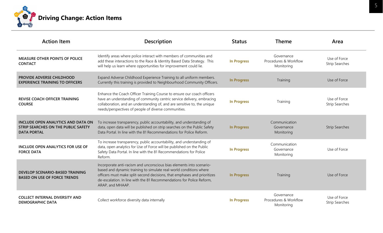

| <b>Action Item</b>                                                                                     | <b>Description</b>                                                                                                                                                                                                                                                                                                  | <b>Status</b>      | <b>Theme</b>                                      | Area                                  |
|--------------------------------------------------------------------------------------------------------|---------------------------------------------------------------------------------------------------------------------------------------------------------------------------------------------------------------------------------------------------------------------------------------------------------------------|--------------------|---------------------------------------------------|---------------------------------------|
| <b>MEASURE OTHER POINTS OF POLICE</b><br><b>CONTACT</b>                                                | Identify areas where police interact with members of communities and<br>add these interactions to the Race & Identity Based Data Strategy. This<br>will help us learn where opportunities for improvement could lie.                                                                                                | <b>In Progress</b> | Governance<br>Procedures & Workflow<br>Monitoring | Use of Force<br><b>Strip Searches</b> |
| PROVIDE ADVERSE CHILDHOOD<br><b>EXPERIENCE TRAINING TO OFFICERS</b>                                    | Expand Adverse Childhood Experience Training to all uniform members.<br>Currently this training is provided to Neighbourhood Community Officers.                                                                                                                                                                    | <b>In Progress</b> | Training                                          | Use of Force                          |
| <b>REVISE COACH OFFICER TRAINING</b><br><b>COURSE</b>                                                  | Enhance the Coach Officer Training Course to ensure our coach officers<br>have an understanding of community centric service delivery, embracing<br>collaboration, and an understanding of, and are sensitive to, the unique<br>needs/perspectives of people of diverse communities.                                | <b>In Progress</b> | Training                                          | Use of Force<br><b>Strip Searches</b> |
| <b>INCLUDE OPEN ANALYTICS AND DATA ON</b><br>STRIP SEARCHES ON THE PUBLIC SAFETY<br><b>DATA PORTAL</b> | To increase transparency, public accountability, and understanding of<br>data, open data will be published on strip searches on the Public Safety<br>Data Portal. In line with the 81 Recommendations for Police Reform.                                                                                            | <b>In Progress</b> | Communication<br>Governance<br>Monitoring         | <b>Strip Searches</b>                 |
| INCLUDE OPEN ANALYTICS FOR USE OF<br><b>FORCE DATA</b>                                                 | To increase transparency, public accountability, and understanding of<br>data, open analytics for Use of Force will be published on the Public<br>Safety Data Portal. In line with the 81 Recommendations for Police<br>Reform.                                                                                     | <b>In Progress</b> | Communication<br>Governance<br>Monitoring         | Use of Force                          |
| <b>DEVELOP SCENARIO-BASED TRAINING</b><br><b>BASED ON USE OF FORCE TRENDS</b>                          | Incorporate anti-racism and unconscious bias elements into scenario-<br>based and dynamic training to simulate real-world conditions where<br>officers must make split-second decisions, that emphases and prioritizes<br>de-escalation. In line with the 81 Recommendations for Police Reform,<br>ARAP, and MHAAP. | <b>In Progress</b> | Training                                          | Use of Force                          |
| <b>COLLECT INTERNAL DIVERSITY AND</b><br><b>DEMOGRAPHIC DATA</b>                                       | Collect workforce diversity data internally                                                                                                                                                                                                                                                                         | <b>In Progress</b> | Governance<br>Procedures & Workflow<br>Monitoring | Use of Force<br><b>Strip Searches</b> |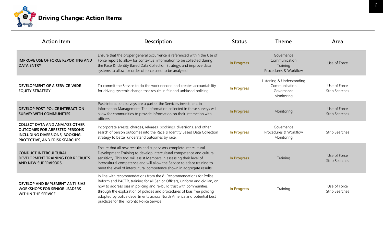

| <b>Action Item</b>                                                                                                                                | <b>Description</b>                                                                                                                                                                                                                                                                                                                                                                                                            | <b>Status</b>      | <b>Theme</b>                                                           | Area                                  |
|---------------------------------------------------------------------------------------------------------------------------------------------------|-------------------------------------------------------------------------------------------------------------------------------------------------------------------------------------------------------------------------------------------------------------------------------------------------------------------------------------------------------------------------------------------------------------------------------|--------------------|------------------------------------------------------------------------|---------------------------------------|
| <b>IMPROVE USE OF FORCE REPORTING AND</b><br><b>DATA ENTRY</b>                                                                                    | Ensure that the proper general occurrence is referenced within the Use of<br>Force report to allow for contextual information to be collected during<br>the Race & Identity Based Data Collection Strategy; and improve data<br>systems to allow for order of force used to be analyzed.                                                                                                                                      | <b>In Progress</b> | Governance<br>Communication<br>Training<br>Procedures & Workflow       | Use of Force                          |
| DEVELOPMENT OF A SERVICE-WIDE<br><b>EQUITY STRATEGY</b>                                                                                           | To commit the Service to do the work needed and creates accountability<br>for driving systemic change that results in fair and unbiased policing                                                                                                                                                                                                                                                                              | <b>In Progress</b> | Listening & Understanding<br>Communication<br>Governance<br>Monitoring | Use of Force<br><b>Strip Searches</b> |
| DEVELOP POST-POLICE INTERACTION<br><b>SURVEY WITH COMMUNITIES</b>                                                                                 | Post-interaction surveys are a part of the Service's investment in<br>Information Management. The information collected in these surveys will<br>allow for communities to provide information on their interaction with<br>officers.                                                                                                                                                                                          | <b>In Progress</b> | Monitoring                                                             | Use of Force<br><b>Strip Searches</b> |
| <b>COLLECT DATA AND ANALYZE OTHER</b><br><b>OUTCOMES FOR ARRESTED PERSONS</b><br>INCLUDING DIVERSIONS, BOOKING,<br>PROTECTIVE, AND FRISK SEARCHES | Incorporate arrests, charges, releases, bookings, diversions, and other<br>search of person outcomes into the Race & Identity Based Data Collection<br>strategy to better understand outcomes by race.                                                                                                                                                                                                                        | <b>In Progress</b> | Governance<br>Procedures & Workflow<br>Monitoring                      | <b>Strip Searches</b>                 |
| <b>CONDUCT INTERCULTURAL</b><br><b>DEVELOPMENT TRAINING FOR RECRUITS</b><br><b>AND NEW SUPERVISORS</b>                                            | Ensure that all new recruits and supervisors complete Intercultural<br>Development Training to develop intercultural competence and cultural<br>sensitivity. This tool will assist Members in assessing their level of<br>intercultural competence and will allow the Service to adapt training to<br>meet the level of intercultural competence shown in aggregate results.                                                  | <b>In Progress</b> | Training                                                               | Use of Force<br><b>Strip Searches</b> |
| <b>DEVELOP AND IMPLEMENT ANTI-BIAS</b><br><b>WORKSHOPS FOR SENIOR LEADERS</b><br><b>WITHIN THE SERVICE</b>                                        | In line with recommendations from the 81 Recommendations for Police<br>Reform and PACER, training for all Senior Officers, uniform and civilian, on<br>how to address bias in policing and re-build trust with communities,<br>through the exploration of policies and procedures of bias free policing<br>adopted by police departments across North America and potential best<br>practices for the Toronto Police Service. | <b>In Progress</b> | Training                                                               | Use of Force<br><b>Strip Searches</b> |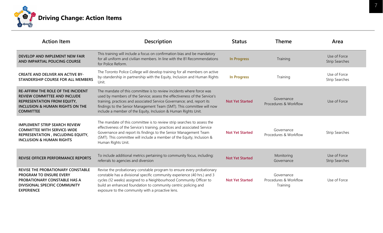

| <b>Action Item</b>                                                                                                                                                                | <b>Description</b>                                                                                                                                                                                                                                                                                                                                                     | <b>Status</b>          | <b>Theme</b>                                    | Area                                  |
|-----------------------------------------------------------------------------------------------------------------------------------------------------------------------------------|------------------------------------------------------------------------------------------------------------------------------------------------------------------------------------------------------------------------------------------------------------------------------------------------------------------------------------------------------------------------|------------------------|-------------------------------------------------|---------------------------------------|
| DEVELOP AND IMPLEMENT NEW FAIR<br>AND IMPARTIAL POLICING COURSE                                                                                                                   | This training will include a focus on confirmation bias and be mandatory<br>for all uniform and civilian members. In line with the 81 Recommendations<br>for Police Reform.                                                                                                                                                                                            | <b>In Progress</b>     | Training                                        | Use of Force<br><b>Strip Searches</b> |
| <b>CREATE AND DELIVER AN ACTIVE BY-</b><br>STANDERSHIP COURSE FOR ALL MEMBERS                                                                                                     | The Toronto Police College will develop training for all members on active<br>by-standership in partnership with the Equity, Inclusion and Human Rights<br>Unit.                                                                                                                                                                                                       | <b>In Progress</b>     | Training                                        | Use of Force<br><b>Strip Searches</b> |
| <b>RE-AFFIRM THE ROLE OF THE INCIDENT</b><br><b>REVIEW COMMITTEE AND INCLUDE</b><br>REPRESENTATION FROM EQUITY,<br><b>INCLUSION &amp; HUMAN RIGHTS ON THE</b><br><b>COMMITTEE</b> | The mandate of this committee is to review incidents where force was<br>used by members of the Service; assess the effectiveness of the Service's<br>training, practices and associated Service Governance; and, report its<br>findings to the Senior Management Team (SMT). This committee will now<br>include a member of the Equity, Inclusion & Human Rights Unit. | <b>Not Yet Started</b> | Governance<br>Procedures & Workflow             | Use of Force                          |
| <b>IMPLEMENT STRIP SEARCH REVIEW</b><br><b>COMMITTEE WITH SERVICE-WIDE</b><br>REPRESENTATION, INCLUDING EQUITY,<br><b>INCLUSION &amp; HUMAN RIGHTS</b>                            | The mandate of this committee is to review strip searches to assess the<br>effectiveness of the Service's training, practices and associated Service<br>Governance and report its findings to the Senior Management Team<br>(SMT). This committee will include a member of the Equity, Inclusion &<br>Human Rights Unit.                                               | <b>Not Yet Started</b> | Governance<br>Procedures & Workflow             | <b>Strip Searches</b>                 |
| <b>REVISE OFFICER PERFORMANCE REPORTS</b>                                                                                                                                         | To include additional metrics pertaining to community focus, including:<br>referrals to agencies and diversion                                                                                                                                                                                                                                                         | <b>Not Yet Started</b> | Monitoring<br>Governance                        | Use of Force<br><b>Strip Searches</b> |
| REVISE THE PROBATIONARY CONSTABLE<br><b>PROGRAM TO ENSURE EVERY</b><br>PROBATIONARY CONSTABLE HAS A<br>DIVISIONAL SPECIFIC COMMUNITY<br><b>EXPERIENCE</b>                         | Revise the probationary constable program to ensure every probationary<br>constable has a divisional specific community experience (40 hrs.) and 3<br>cycles (12 weeks) assigned to a Neighbourhood Community Officer to<br>build an enhanced foundation to community centric policing and<br>exposure to the community with a proactive lens.                         | <b>Not Yet Started</b> | Governance<br>Procedures & Workflow<br>Training | Use of Force                          |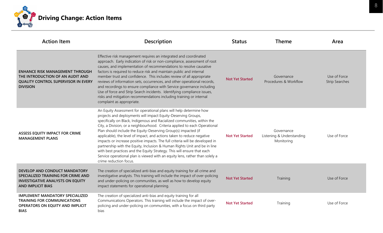

| <b>Action Item</b>                                                                                                                          | <b>Description</b>                                                                                                                                                                                                                                                                                                                                                                                                                                                                                                                                                                                                                                                                                                                                                                          | <b>Status</b>          | <b>Theme</b>                                          | Area                                  |
|---------------------------------------------------------------------------------------------------------------------------------------------|---------------------------------------------------------------------------------------------------------------------------------------------------------------------------------------------------------------------------------------------------------------------------------------------------------------------------------------------------------------------------------------------------------------------------------------------------------------------------------------------------------------------------------------------------------------------------------------------------------------------------------------------------------------------------------------------------------------------------------------------------------------------------------------------|------------------------|-------------------------------------------------------|---------------------------------------|
| <b>ENHANCE RISK MANAGEMENT THROUGH</b><br>THE INTRODUCTION OF AN AUDIT AND<br><b>QUALITY CONTROL SUPERVISOR IN EVERY</b><br><b>DIVISION</b> | Effective risk management requires an integrated and coordinated<br>approach. Early indication of risk or non-compliance, assessment of root<br>causes, and implementation of recommendations to resolve causative<br>factors is required to reduce risk and maintain public and internal<br>member trust and confidence. This includes review of all appropriate<br>reviews of information sets, occurrences, and other operational records,<br>and recordings to ensure compliance with Service governance including<br>Use of force and Strip Search incidents. Identifying compliance issues,<br>risks and mitigation recommendations including training or internal<br>complaint as appropriate.                                                                                       | <b>Not Yet Started</b> | Governance<br>Procedures & Workflow                   | Use of Force<br><b>Strip Searches</b> |
| <b>ASSESS EQUITY IMPACT FOR CRIME</b><br><b>MANAGEMENT PLANS</b>                                                                            | An Equity Assessment for operational plans will help determine how<br>projects and deployments will impact Equity-Deserving Groups,<br>specifically on Black, Indigenous and Racialized communities, within the<br>City, a Division, or a neighbourhood. Criteria applied to each Operational<br>Plan should include the Equity-Deserving Group(s) impacted (if<br>applicable), the level of impact, and actions taken to reduce negative<br>impacts or increase positive impacts. The full criteria will be developed in<br>partnership with the Equity, Inclusion & Human Rights Unit and be in line<br>with best practices and the Equity Strategy. This will ensure that each<br>Service operational plan is viewed with an equity lens, rather than solely a<br>crime reduction focus. | <b>Not Yet Started</b> | Governance<br>Listening & Understanding<br>Monitoring | Use of Force                          |
| DEVELOP AND CONDUCT MANDATORY<br>SPECIALIZED TRAINING FOR CRIME AND<br><b>INVESTIGATIVE ANALYSTS ON EQUITY</b><br><b>AND IMPLICIT BIAS</b>  | The creation of specialized anti-bias and equity training for all crime and<br>investigative analysts. This training will include the impact of over-policing<br>and under-policing on communities, as well as how to develop equity<br>impact statements for operational planning.                                                                                                                                                                                                                                                                                                                                                                                                                                                                                                         | <b>Not Yet Started</b> | Training                                              | Use of Force                          |
| <b>IMPLEMENT MANDATORY SPECIALIZED</b><br><b>TRAINING FOR COMMUNICATIONS</b><br>OPERATORS ON EQUITY AND IMPLICIT<br><b>BIAS</b>             | The creation of specialized anti-bias and equity training for all<br>Communications Operators. This training will include the impact of over-<br>policing and under-policing on communities, with a focus on third party<br>bias                                                                                                                                                                                                                                                                                                                                                                                                                                                                                                                                                            | <b>Not Yet Started</b> | Training                                              | Use of Force                          |